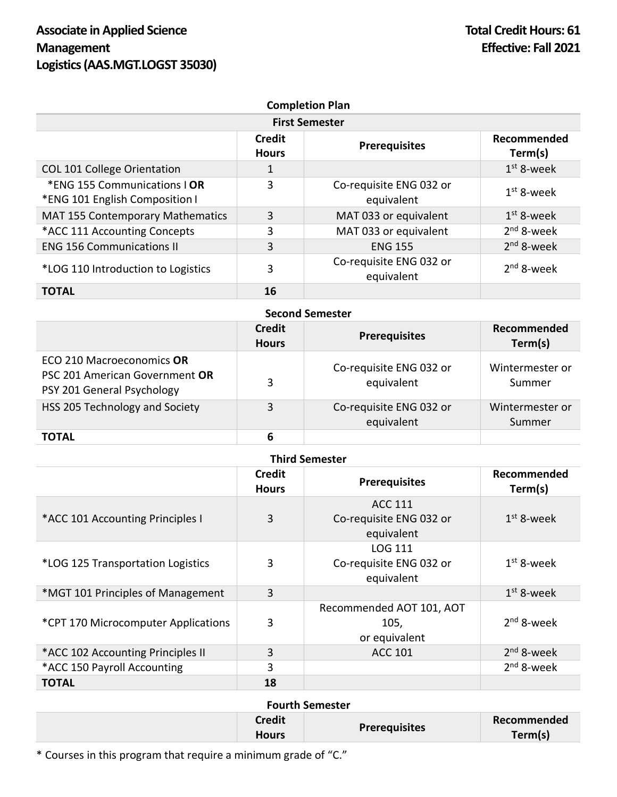|                                                                |                               | <b>Completion Plan</b>                |                        |
|----------------------------------------------------------------|-------------------------------|---------------------------------------|------------------------|
| <b>First Semester</b>                                          |                               |                                       |                        |
|                                                                | <b>Credit</b><br><b>Hours</b> | <b>Prerequisites</b>                  | Recommended<br>Term(s) |
| COL 101 College Orientation                                    | 1                             |                                       | $1st$ 8-week           |
| *ENG 155 Communications   OR<br>*ENG 101 English Composition I | 3                             | Co-requisite ENG 032 or<br>equivalent | $1st$ 8-week           |
| MAT 155 Contemporary Mathematics                               | 3                             | MAT 033 or equivalent                 | $1st$ 8-week           |
| *ACC 111 Accounting Concepts                                   | 3                             | MAT 033 or equivalent                 | $2nd$ 8-week           |
| <b>ENG 156 Communications II</b>                               | 3                             | <b>ENG 155</b>                        | $2nd$ 8-week           |
| *LOG 110 Introduction to Logistics                             | 3                             | Co-requisite ENG 032 or<br>equivalent | $2nd$ 8-week           |
| <b>TOTAL</b>                                                   | 16                            |                                       |                        |

| <b>Second Semester</b>                                                                    |                               |                                       |                           |
|-------------------------------------------------------------------------------------------|-------------------------------|---------------------------------------|---------------------------|
|                                                                                           | <b>Credit</b><br><b>Hours</b> | <b>Prerequisites</b>                  | Recommended<br>Term(s)    |
| ECO 210 Macroeconomics OR<br>PSC 201 American Government OR<br>PSY 201 General Psychology | 3                             | Co-requisite ENG 032 or<br>equivalent | Wintermester or<br>Summer |
| HSS 205 Technology and Society                                                            | 3                             | Co-requisite ENG 032 or<br>equivalent | Wintermester or<br>Summer |
| <b>TOTAL</b>                                                                              | 6                             |                                       |                           |

| <b>Third Semester</b>               |                               |                                                         |                        |  |
|-------------------------------------|-------------------------------|---------------------------------------------------------|------------------------|--|
|                                     | <b>Credit</b><br><b>Hours</b> | <b>Prerequisites</b>                                    | Recommended<br>Term(s) |  |
| *ACC 101 Accounting Principles I    | 3                             | <b>ACC 111</b><br>Co-requisite ENG 032 or<br>equivalent | $1st$ 8-week           |  |
| *LOG 125 Transportation Logistics   | 3                             | LOG 111<br>Co-requisite ENG 032 or<br>equivalent        | $1st$ 8-week           |  |
| *MGT 101 Principles of Management   | 3                             |                                                         | $1st$ 8-week           |  |
| *CPT 170 Microcomputer Applications | 3                             | Recommended AOT 101, AOT<br>105,<br>or equivalent       | $2nd$ 8-week           |  |
| *ACC 102 Accounting Principles II   | 3                             | <b>ACC 101</b>                                          | $2nd$ 8-week           |  |
| *ACC 150 Payroll Accounting         | 3                             |                                                         | $2nd$ 8-week           |  |
| <b>TOTAL</b>                        | 18                            |                                                         |                        |  |

## **Fourth Semester**

| <b>Credit</b><br><b>Hours</b> | <b>Prerequisites</b> | Recommended<br>Term(s) |
|-------------------------------|----------------------|------------------------|
|-------------------------------|----------------------|------------------------|

\* Courses in this program that require a minimum grade of "C."